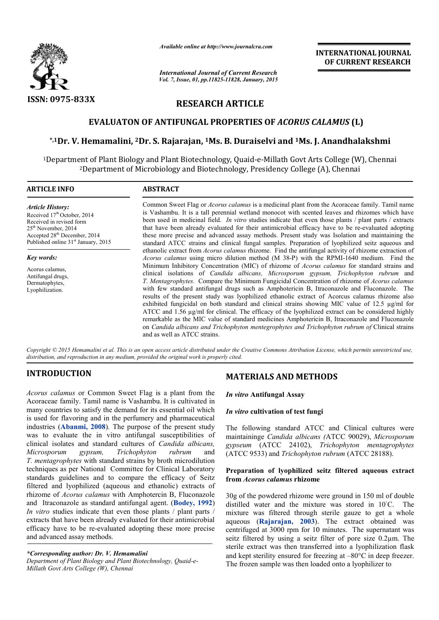

*Available online at http://www.journalcra.com*

*International Journal of Current Research Vol. 7, Issue, 01, pp.11825-11828, January, 2015* **INTERNATIONAL INTERNATIONAL JOURNAL OF CURRENT RESEARCH** 

# **RESEARCH ARTICLE**

# **EVALUATON OF ANTIFUNGAL PROPERTIES OF**  *ACORUS CALAMUS ACORUS CALAMUS* **(L)**

# \*,1Dr. V. Hemamalini, <sup>2</sup>Dr. S. Rajarajan, <sup>1</sup>Ms. B. Duraiselvi and <sup>1</sup>Ms. J. Anandhalakshmi

<sup>1</sup>Department of Plant Biology and Plant Biotechnology, Quaid-e-Millath Govt Arts College (W), Chennai <sup>2</sup>Department of Microbiology and Biotechnology, Presidency College (A), Chennai

#### **ARTICLE INFO ABSTRACT** Common Sweet Flag or *Acorus calamus* is a medicinal plant from the Acoraceae family. Tamil name is Vashambu. It is a tall perennial wetland monocot with scented leaves and rhizomes which have been used in medicinal field. *In vitro* studies indicate that even those plants / plant parts / extracts been used in medicinal field. *In vitro* studies indicate that even those plants  $\ell$  plant parts  $\ell$  extracts that have been already evaluated for their antimicrobial efficacy have to be re-evaluated adopting these more precise and advanced assay methods. Present study was Isolation and maintaining the standard ATCC strains and clinical fungal samples. Preparation of lyophilized seitz aqueous and ethanolic extract from *Acorus calamus* rhizome. Find the antifungal activity of rhizome extraction of *Acorus calamus* using micro dilution method (M 38-P) with the RPMI Minimum Inhibitory Concentration (MIC) of rhizome of *Acorus calamus* for standard strains and clinical isolations of *Candida albicans, Microsporum gypsum, Trichophyton rubrum albicans, Trichophyton* and *T. Mentagr Mentagrophytes.* Compare the Minimum Fungicidal Concentration of rhizome of Fungicidal *Acorus calamus* with few standard antifungal drugs such as Amphotericin B, Itraconazole and Fluconazole. The with few standard antifungal drugs such as Amphotericin B, Itraconazole and Fluconazole. The results of the present study was lyophilized ethanolic extract of Acorcus calamus rhizome also exhibited fungicidal on both standard and clinical strains showing MIC value of 12.5 µg/ml for ATCC and 1.56 µg/ml for clinical. The efficacy of the lyophilized extract can be considered highly exhibited fungicidal on both standard and clinical strains showing MIC value of 12.5 µg/ml for ATCC and 1.56 µg/ml for clinical. The efficacy of the lyophilized extract can be considered highly remarkable as the MIC value on *Candida albicans and Trichophyton mentegrophytes and Trichophyton rubrum of Clinical strains Article History:* Received 17<sup>th</sup> October, 2014 Received in revised form 25<sup>th</sup> November, 2014 Accepted 28th December, 2014 Published online 31<sup>st</sup> January, 2015 *Key words:* Acorus calamus, Antifungal drugs, Dermatophytes, Lyophilization. 1 ation of lyophilized seitz aqueous and<br>ifungal activity of rhizome extraction of<br>th the RPMI-1640 medium. Find the

Copyright © 2015 Hemamalini et al. This is an open access article distributed under the Creative Commons Attribution License, which permits unrestricted use, *distribution, and reproduction in any medium, provided the original work is properly cited.*

and as well as ATCC strains.

# **INTRODUCTION**

*Acorus calamus* or Common Sweet Flag is a plant from the Acoraceae family. Tamil name is Vashambu. It is cultivated in many countries to satisfy the demand for its essential oil which is used for flavoring and in the perfumery and pharmaceutical industries (**Abanmi, 2008**). The purpose of the present study was to evaluate the in vitro antifungal susceptibilities of clinical isolates and standard cultures of *Candida albicans, Microsporum gypsum, Trichophyton rubrum T. mentagrophytes* with standard strains by broth microdilution techniques as per National Committee for Clinical Laboratory standards guidelines and to compare the efficacy of Seitz filtered and lyophilized (aqueous and ethanolic) extracts of rhizome of *Acorus calamus* with Amphotercin B, Fluconazole and Itraconazole as standard antifungal agent. (Bodey, 1992) *In vitro* studies indicate that even those plants / plant parts / extracts that have been already evaluated for their antimicrobial efficacy have to be re-evaluated adopting these more precise and advanced assay methods. and s as per National Committee for Clinical Laboratory<br>guidelines and to compare the efficacy of Seitz<br>nd lyophilized (aqueous and ethanolic) extracts of<br>of *Acorus calamus* with Amphotercin B, Fluconazole<br>conazole as standar

# *\*Corresponding author: Dr. V. Hemamalini*

Department of Plant Biology and Plant Biotechnology, Quaid-e-*Millath Govt Arts College (W), Chennai*

# **MATERIALS AND METHODS**

*In vitro* **Antifungal Assay**

### *In vitro* **cultivation of test fungi**

The following standard ATCC and Clinical cultures were maintaininge *Candida albicans ( Candida (*ATCC 90029), *Microsporum gypseum* (ATCC 24102), ATCC 24102), *Trichophyton mentagrophytes*  (ATCC 9533) and *Trichophyton rubrum*  (ATCC 28188).

### **Preparation of lyophilized seitz filtered aqueous extract from** *Acorus calamus* **rhizome**

30g of the powdered rhizome were ground in 150 ml of double distilled water and the mixture was stored in 10℃. The mixture was filtered through sterile gauze to get a whole aqueous (**Rajarajan, 2003**). The extract obtained was centrifuged at 3000 rpm for 10 minutes. The supernatant was seitz filtered by using a seitz filter of pore size 0.2µm. The sterile extract was then transferred into a lyophilization flask and kept sterility ensured for freezing at  $-80^{\circ}$ C in deep freezer. The frozen sample was then loaded onto a lyophilizer to fuged at 3000 rpm for 10 minutes. The supernatant was filtered by using a seitz filter of pore size 0.2 $\mu$ m. The extract was then transferred into a lyophilization flask ept sterility ensured for freezing at  $-80^{\circ}$ C i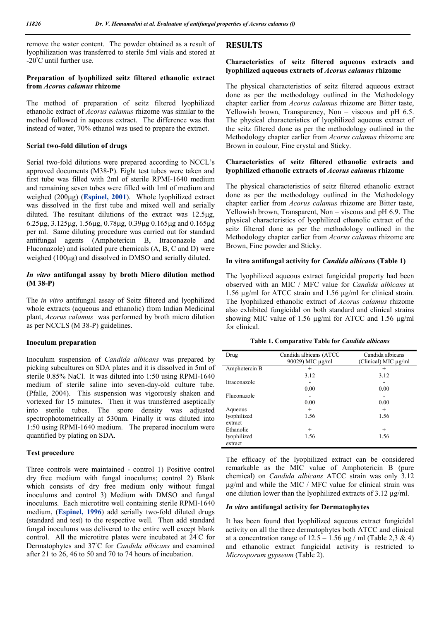remove the water content. The powder obtained as a result of lyophilization was transferred to sterile 5ml vials and stored at -20◦ C until further use.

#### **Preparation of lyophilized seitz filtered ethanolic extract from** *Acorus calamus* **rhizome**

The method of preparation of seitz filtered lyophilized ethanolic extract of *Acorus calamus* rhizome was similar to the method followed in aqueous extract. The difference was that instead of water, 70% ethanol was used to prepare the extract.

#### **Serial two-fold dilution of drugs**

Serial two-fold dilutions were prepared according to NCCL's approved documents (M38-P). Eight test tubes were taken and first tube was filled with 2ml of sterile RPMI-1640 medium and remaining seven tubes were filled with 1ml of medium and weighed (200g) (**Espinel, 2001**). Whole lyophilized extract was dissolved in the first tube and mixed well and serially diluted. The resultant dilutions of the extract was  $12.5\mu$ g,  $6.25\mu$ g,  $3.125\mu$ g,  $1.56\mu$ g,  $0.78\mu$ g,  $0.39\mu$ g  $0.165\mu$ g and  $0.165\mu$ g per ml. Same diluting procedure was carried out for standard antifungal agents (Amphotericin B, Itraconazole and Fluconazole) and isolated pure chemicals (A, B, C and D) were weighed (100µg) and dissolved in DMSO and serially diluted.

### *In vitro* **antifungal assay by broth Micro dilution method (M 38-P)**

The *in vitro* antifungal assay of Seitz filtered and lyophilized whole extracts (aqueous and ethanolic) from Indian Medicinal plant, *Acorus calamus* was performed by broth micro dilution as per NCCLS (M 38-P) guidelines.

#### **Inoculum preparation**

Inoculum suspension of *Candida albicans* was prepared by picking subcultures on SDA plates and it is dissolved in 5ml of sterile 0.85% NaCl. It was diluted into 1:50 using RPMI-1640 medium of sterile saline into seven-day-old culture tube. (Pfalle, 2004). This suspension was vigorously shaken and vortexed for 15 minutes. Then it was transferred aseptically into sterile tubes. The spore density was adjusted spectrophotometrically at 530nm. Finally it was diluted into 1:50 using RPMI-1640 medium. The prepared inoculum were quantified by plating on SDA.

### **Test procedure**

Three controls were maintained - control 1) Positive control dry free medium with fungal inoculums; control 2) Blank which consists of dry free medium only without fungal inoculums and control 3) Medium with DMSO and fungal inoculums. Each microtitre well containing sterile RPMI-1640 medium, (**Espinel, 1996**) add serially two-fold diluted drugs (standard and test) to the respective well. Then add standard fungal inoculums was delivered to the entire well except blank control. All the microtitre plates were incubated at 24◦ C for Dermatophytes and 37◦ C for *Candida albicans* and examined after 21 to 26, 46 to 50 and 70 to 74 hours of incubation.

# **RESULTS**

### **Characteristics of seitz filtered aqueous extracts and lyophilized aqueous extracts of** *Acorus calamus* **rhizome**

The physical characteristics of seitz filtered aqueous extract done as per the methodology outlined in the Methodology chapter earlier from *Acorus calamus* rhizome are Bitter taste, Yellowish brown, Transparency, Non – viscous and pH 6.5. The physical characteristics of lyophilized aqueous extract of the seitz filtered done as per the methodology outlined in the Methodology chapter earlier from *Acorus calamus* rhizome are Brown in coulour, Fine crystal and Sticky.

#### **Characteristics of seitz filtered ethanolic extracts and lyophilized ethanolic extracts of** *Acorus calamus* **rhizome**

The physical characteristics of seitz filtered ethanolic extract done as per the methodology outlined in the Methodology chapter earlier from *Acorus calamus* rhizome are Bitter taste, Yellowish brown, Transparent, Non – viscous and pH 6.9. The physical characteristics of lyophilized ethanolic extract of the seitz filtered done as per the methodology outlined in the Methodology chapter earlier from *Acorus calamus* rhizome are Brown, Fine powder and Sticky.

### **In vitro antifungal activity for** *Candida albicans* **(Table 1)**

The lyophilized aqueous extract fungicidal property had been observed with an MIC / MFC value for *Candida albicans* at 1.56 µg/ml for ATCC strain and 1.56 µg/ml for clinical strain. The lyophilized ethanolic extract of *Acorus calamus* rhizome also exhibited fungicidal on both standard and clinical strains showing MIC value of 1.56  $\mu$ g/ml for ATCC and 1.56  $\mu$ g/ml for clinical.

#### **Table 1. Comparative Table for** *Candida albicans*

| Drug          | Candida albicans (ATCC) | Candida albicans     |
|---------------|-------------------------|----------------------|
|               | 90029) MIC µg/ml        | (Clinical) MIC µg/ml |
| Amphotercin B | $^+$                    | $^{+}$               |
|               | 3.12                    | 3.12                 |
| Itraconazole  |                         |                      |
|               | 0.00                    | 0.00                 |
| Fluconazole   |                         |                      |
|               | 0.00                    | 0.00                 |
| Aqueous       | $^{+}$                  | $^{+}$               |
| lyophilized   | 1.56                    | 1.56                 |
| extract       |                         |                      |
| Ethanolic     | $^{+}$                  | $^{+}$               |
| lyophilized   | 1.56                    | 1.56                 |
| extract       |                         |                      |

The efficacy of the lyophilized extract can be considered remarkable as the MIC value of Amphotericin B (pure chemical) on *Candida albicans* ATCC strain was only 3.12 µg/ml and while the MIC / MFC value for clinical strain was one dilution lower than the lyophilized extracts of 3.12 µg/ml.

# *In vitro* **antifungal activity for Dermatophytes**

It has been found that lyophilized aqueous extract fungicidal activity on all the three dermatophytes both ATCC and clinical at a concentration range of  $12.5 - 1.56 \mu g$  / ml (Table 2,3 & 4) and ethanolic extract fungicidal activity is restricted to *Microsporum gypseum* (Table 2).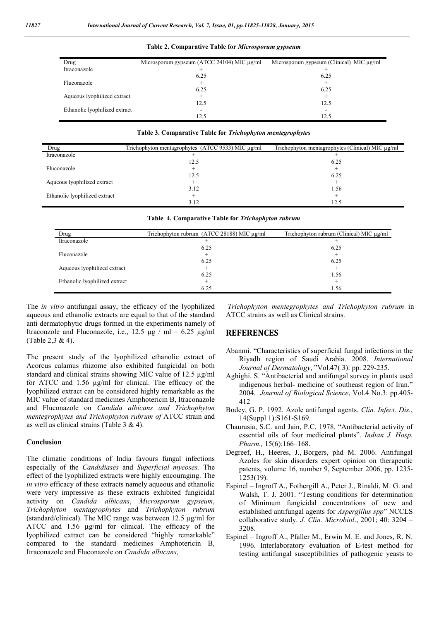| Drug                          | Microsporum gypseum (ATCC 24104) MIC µg/ml | Microsporum gypseum (Clinical) MIC $\mu$ g/ml |
|-------------------------------|--------------------------------------------|-----------------------------------------------|
| Itraconazole                  |                                            |                                               |
|                               | 6.25                                       | 6.25                                          |
| Fluconazole                   |                                            |                                               |
|                               | 6.25                                       | 6.25                                          |
| Aqueous lyophilized extract   |                                            |                                               |
|                               | 12.5                                       | 12.5                                          |
| Ethanolic lyophilized extract |                                            |                                               |
|                               | 12.5                                       | 12.5                                          |

#### **Table 2. Comparative Table for** *Microsporum gypseum*

**Table 3. Comparative Table for** *Trichophyton mentegrophytes*

| Drug                          | Trichophyton mentagrophytes (ATCC 9533) MIC µg/ml | Trichophyton mentagrophytes (Clinical) MIC µg/ml |
|-------------------------------|---------------------------------------------------|--------------------------------------------------|
| Itraconazole                  |                                                   |                                                  |
|                               | 12.5                                              | 6.25                                             |
| Fluconazole                   |                                                   |                                                  |
|                               | 12.5                                              | 6.25                                             |
| Aqueous lyophilized extract   |                                                   |                                                  |
|                               | 3.12                                              | 1.56                                             |
| Ethanolic lyophilized extract |                                                   |                                                  |
|                               | 3.12                                              | 12.5                                             |

| Drug                          | Trichophyton rubrum $(ATCC 28188)$ MIC $\mu$ g/ml | Trichophyton rubrum (Clinical) MIC µg/ml |
|-------------------------------|---------------------------------------------------|------------------------------------------|
| Itraconazole                  |                                                   |                                          |
|                               | 6.25                                              | 6.25                                     |
| Fluconazole                   |                                                   |                                          |
|                               | 6.25                                              | 6.25                                     |
| Aqueous lyophilized extract   |                                                   |                                          |
|                               | 6.25                                              | 1.56                                     |
| Ethanolic lyophilized extract |                                                   |                                          |

6.25

**Table 4. Comparative Table for** *Trichophyton rubrum*

The *in vitro* antifungal assay, the efficacy of the lyophilized aqueous and ethanolic extracts are equal to that of the standard anti dermatophytic drugs formed in the experiments namely of Itraconzole and Fluconazole, i.e., 12.5 µg / ml – 6.25 µg/ml (Table 2,3 & 4).

The present study of the lyophilized ethanolic extract of Acorcus calamus rhizome also exhibited fungicidal on both standard and clinical strains showing MIC value of 12.5 µg/ml for ATCC and 1.56 µg/ml for clinical. The efficacy of the lyophilized extract can be considered highly remarkable as the MIC value of standard medicines Amphotericin B, Itraconazole and Fluconazole on *Candida albicans and Trichophyton mentegrophytes and Trichophyton rubrum of* ATCC strain and as well as clinical strains (Table 3 & 4).

### **Conclusion**

The climatic conditions of India favours fungal infections especially of the *Candidiases* and *Superficial mycoses.* The effect of the lyophilized extracts were highly encouraging. The *in vitro* efficacy of these extracts namely aqueous and ethanolic were very impressive as these extracts exhibited fungicidal activity on *Candida albicans*, *Microsporum gypseum*, *Trichophyton mentagrophytes* and *Trichophyton rubrum* (standard/clinical). The MIC range was between 12.5 µg/ml for ATCC and 1.56 µg/ml for clinical. The efficacy of the lyophilized extract can be considered "highly remarkable" compared to the standard medicines Amphotericin B, Itraconazole and Fluconazole on *Candida albicans,*

*Trichophyton mentegrophytes and Trichophyton rubrum* in ATCC strains as well as Clinical strains.

1.56

# **REFERENCES**

- Abanmi. "Characteristics of superficial fungal infections in the Riyadh region of Saudi Arabia. 2008. *International Journal of Dermatology*, "Vol.47( 3): pp. 229-235.
- Aghighi. S. "Antibacterial and antifungal survey in plants used indigenous herbal- medicine of southeast region of Iran." 2004. *Journal of Biological Science*, Vol.4 No.3: pp.405- 412
- Bodey, G. P. 1992. Azole antifungal agents. *Clin. Infect. Dis.*, 14(Suppl 1):S161-S169.
- Chaurasia, S.C. and Jain, P.C. 1978. "Antibacterial activity of essential oils of four medicinal plants". *Indian J. Hosp. Pharm.,* 15(6):166–168.
- Degreef, H., Heeres, J., Borgers, phd M. 2006. Antifungal Azoles for skin disorders expert opinion on therapeutic patents, volume 16, number 9, September 2006, pp. 1235- 1253(19).
- Espinel Ingroff A., Fothergill A., Peter J., Rinaldi, M. G. and Walsh, T. J. 2001. "Testing conditions for determination of Minimum fungicidal concentrations of new and established antifungal agents for *Aspergillus spp*" NCCLS collaborative study. *J. Clin. Microbiol*., 2001; 40: 3204 – 3208.
- Espinel Ingroff A., Pfaller M., Erwin M. E. and Jones, R. N. 1996. Interlaboratory evaluation of E-test method for testing antifungal susceptibilities of pathogenic yeasts to